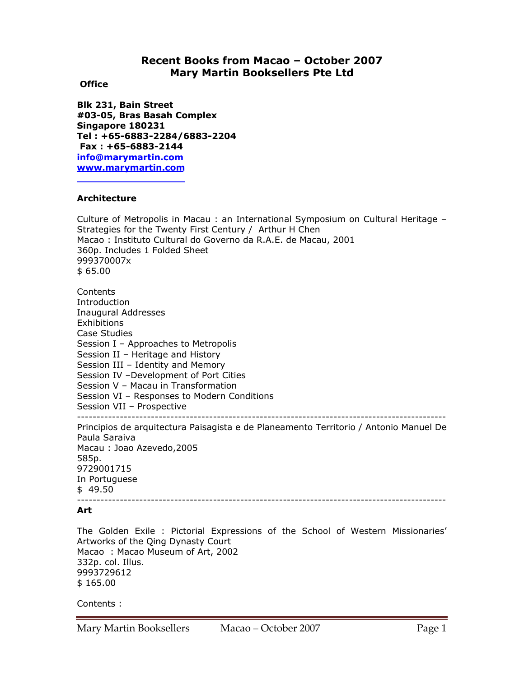# **Recent Books from Macao – October 2007 Mary Martin Booksellers Pte Ltd**

## **Office**

**Blk 231, Bain Street #03-05, Bras Basah Complex Singapore 180231 Tel : +65-6883-2284/6883-2204 Fax : +65-6883-2144 info@marymartin.com www.marymartin.com**

# **Architecture**

Culture of Metropolis in Macau : an International Symposium on Cultural Heritage – Strategies for the Twenty First Century / Arthur H Chen Macao : Instituto Cultural do Governo da R.A.E. de Macau, 2001 360p. Includes 1 Folded Sheet 999370007x \$ 65.00 **Contents Introduction** Inaugural Addresses **Exhibitions** Case Studies Session I – Approaches to Metropolis Session II – Heritage and History Session III – Identity and Memory Session IV –Development of Port Cities Session V – Macau in Transformation Session VI – Responses to Modern Conditions Session VII – Prospective ----------------------------------------------------------------------------------------------- Principios de arquitectura Paisagista e de Planeamento Territorio / Antonio Manuel De Paula Saraiva Macau : Joao Azevedo,2005 585p. 9729001715 In Portuguese \$ 49.50 ----------------------------------------------------------------------------------------------- **Art** 

The Golden Exile : Pictorial Expressions of the School of Western Missionaries' Artworks of the Qing Dynasty Court Macao : Macao Museum of Art, 2002 332p. col. Illus. 9993729612 \$ 165.00

Contents :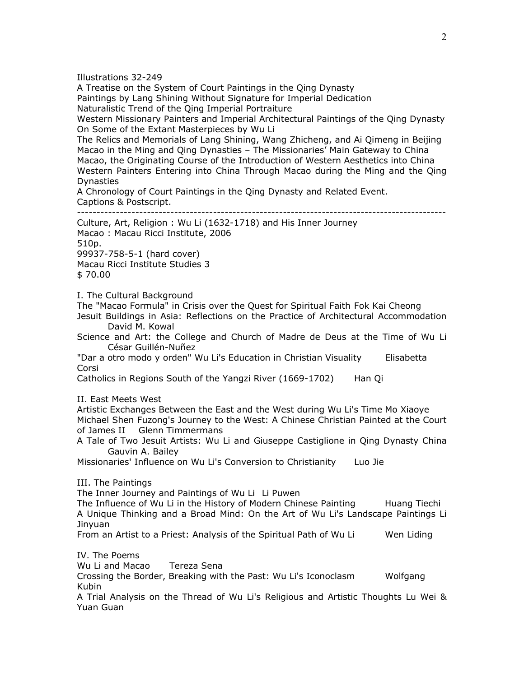Illustrations 32-249

A Treatise on the System of Court Paintings in the Qing Dynasty Paintings by Lang Shining Without Signature for Imperial Dedication Naturalistic Trend of the Qing Imperial Portraiture

Western Missionary Painters and Imperial Architectural Paintings of the Qing Dynasty On Some of the Extant Masterpieces by Wu Li

The Relics and Memorials of Lang Shining, Wang Zhicheng, and Ai Qimeng in Beijing Macao in the Ming and Qing Dynasties – The Missionaries' Main Gateway to China Macao, the Originating Course of the Introduction of Western Aesthetics into China Western Painters Entering into China Through Macao during the Ming and the Qing Dynasties

A Chronology of Court Paintings in the Qing Dynasty and Related Event. Captions & Postscript.

-----------------------------------------------------------------------------------------------

Culture, Art, Religion : Wu Li (1632-1718) and His Inner Journey

Macao : Macau Ricci Institute, 2006 510p. 99937-758-5-1 (hard cover) Macau Ricci Institute Studies 3

\$ 70.00

I. The Cultural Background

The "Macao Formula" in Crisis over the Quest for Spiritual Faith Fok Kai Cheong

Jesuit Buildings in Asia: Reflections on the Practice of Architectural Accommodation David M. Kowal

Science and Art: the College and Church of Madre de Deus at the Time of Wu Li César Guillén-Nuñez

"Dar a otro modo y orden" Wu Li's Education in Christian Visuality Elisabetta Corsi

Catholics in Regions South of the Yangzi River (1669-1702) Han Qi

II. East Meets West

Artistic Exchanges Between the East and the West during Wu Li's Time Mo Xiaoye Michael Shen Fuzong's Journey to the West: A Chinese Christian Painted at the Court of James II Glenn Timmermans

A Tale of Two Jesuit Artists: Wu Li and Giuseppe Castiglione in Qing Dynasty China Gauvin A. Bailey

Missionaries' Influence on Wu Li's Conversion to Christianity Luo Jie

III. The Paintings

The Inner Journey and Paintings of Wu Li Li Puwen

The Influence of Wu Li in the History of Modern Chinese Painting Huang Tiechi A Unique Thinking and a Broad Mind: On the Art of Wu Li's Landscape Paintings Li Jinyuan

From an Artist to a Priest: Analysis of the Spiritual Path of Wu Li Wen Liding

IV. The Poems Wu Li and Macao Tereza Sena Crossing the Border, Breaking with the Past: Wu Li's Iconoclasm Wolfgang Kubin

A Trial Analysis on the Thread of Wu Li's Religious and Artistic Thoughts Lu Wei & Yuan Guan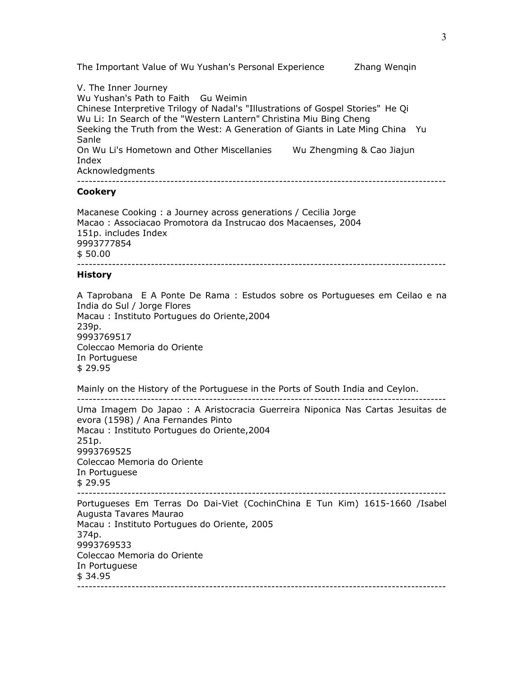The Important Value of Wu Yushan's Personal Experience Zhang Wenqin

V. The Inner Journey Wu Yushan's Path to Faith Gu Weimin Chinese Interpretive Trilogy of Nadal's "Illustrations of Gospel Stories" He Qi Wu Li: In Search of the "Western Lantern" Christina Miu Bing Cheng Seeking the Truth from the West: A Generation of Giants in Late Ming China Yu Sanle On Wu Li's Hometown and Other Miscellanies Wu Zhengming & Cao Jiajun Index Acknowledgments -----------------------------------------------------------------------------------------------

#### **Cookery**

Macanese Cooking : a Journey across generations / Cecilia Jorge Macao : Associacao Promotora da Instrucao dos Macaenses, 2004 151p. includes Index 9993777854 \$ 50.00 -----------------------------------------------------------------------------------------------

#### **History**

A Taprobana E A Ponte De Rama : Estudos sobre os Portugueses em Ceilao e na India do Sul / Jorge Flores Macau : Instituto Portugues do Oriente,2004 239p. 9993769517 Coleccao Memoria do Oriente In Portuguese \$ 29.95

Mainly on the History of the Portuguese in the Ports of South India and Ceylon.

----------------------------------------------------------------------------------------------- Uma Imagem Do Japao : A Aristocracia Guerreira Niponica Nas Cartas Jesuitas de evora (1598) / Ana Fernandes Pinto Macau : Instituto Portugues do Oriente,2004 251p. 9993769525 Coleccao Memoria do Oriente In Portuguese \$ 29.95 ----------------------------------------------------------------------------------------------- Portugueses Em Terras Do Dai-Viet (CochinChina E Tun Kim) 1615-1660 /Isabel Augusta Tavares Maurao Macau : Instituto Portugues do Oriente, 2005

374p. 9993769533 Coleccao Memoria do Oriente

In Portuguese \$ 34.95

-----------------------------------------------------------------------------------------------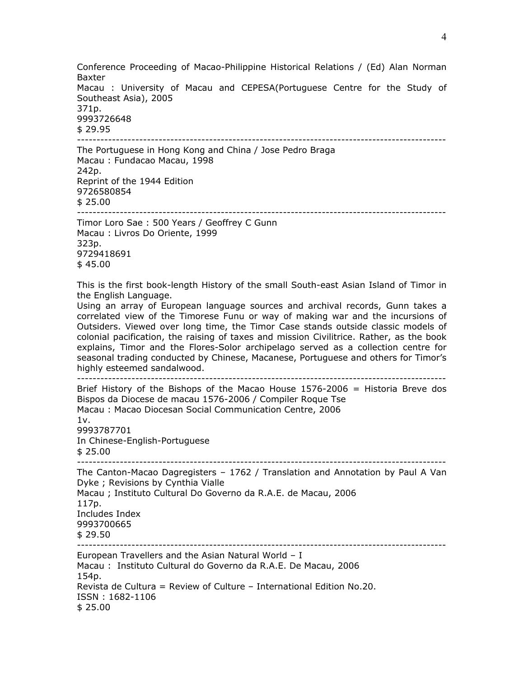Conference Proceeding of Macao-Philippine Historical Relations / (Ed) Alan Norman Baxter Macau : University of Macau and CEPESA(Portuguese Centre for the Study of Southeast Asia), 2005 371p. 9993726648 \$ 29.95 ----------------------------------------------------------------------------------------------- The Portuguese in Hong Kong and China / Jose Pedro Braga Macau : Fundacao Macau, 1998 242p.

Reprint of the 1944 Edition 9726580854 \$ 25.00

-----------------------------------------------------------------------------------------------

Timor Loro Sae : 500 Years / Geoffrey C Gunn Macau : Livros Do Oriente, 1999 323p. 9729418691 \$ 45.00

This is the first book-length History of the small South-east Asian Island of Timor in the English Language.

Using an array of European language sources and archival records, Gunn takes a correlated view of the Timorese Funu or way of making war and the incursions of Outsiders. Viewed over long time, the Timor Case stands outside classic models of colonial pacification, the raising of taxes and mission Civilitrice. Rather, as the book explains, Timor and the Flores-Solor archipelago served as a collection centre for seasonal trading conducted by Chinese, Macanese, Portuguese and others for Timor's highly esteemed sandalwood.

-----------------------------------------------------------------------------------------------

Brief History of the Bishops of the Macao House 1576-2006 = Historia Breve dos Bispos da Diocese de macau 1576-2006 / Compiler Roque Tse Macau : Macao Diocesan Social Communication Centre, 2006  $1v.$ 9993787701 In Chinese-English-Portuguese \$ 25.00 ----------------------------------------------------------------------------------------------- The Canton-Macao Dagregisters – 1762 / Translation and Annotation by Paul A Van Dyke ; Revisions by Cynthia Vialle Macau ; Instituto Cultural Do Governo da R.A.E. de Macau, 2006 117p. Includes Index 9993700665 \$ 29.50 ----------------------------------------------------------------------------------------------- European Travellers and the Asian Natural World – I Macau : Instituto Cultural do Governo da R.A.E. De Macau, 2006 154p. Revista de Cultura = Review of Culture – International Edition No.20. ISSN : 1682-1106 \$ 25.00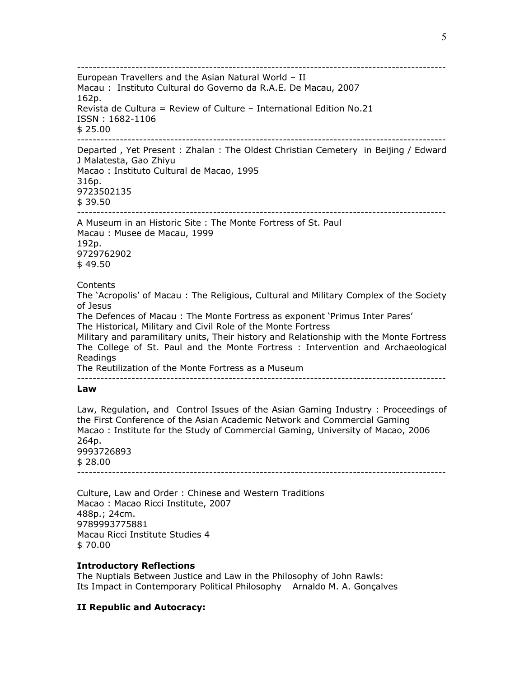-----------------------------------------------------------------------------------------------

European Travellers and the Asian Natural World – II Macau : Instituto Cultural do Governo da R.A.E. De Macau, 2007 162p. Revista de Cultura = Review of Culture – International Edition No.21 ISSN : 1682-1106 \$ 25.00 -----------------------------------------------------------------------------------------------

Departed , Yet Present : Zhalan : The Oldest Christian Cemetery in Beijing / Edward J Malatesta, Gao Zhiyu

Macao : Instituto Cultural de Macao, 1995

316p. 9723502135

\$ 39.50

-----------------------------------------------------------------------------------------------

A Museum in an Historic Site : The Monte Fortress of St. Paul Macau : Musee de Macau, 1999

192p. 9729762902 \$ 49.50

## Contents

The 'Acropolis' of Macau : The Religious, Cultural and Military Complex of the Society of Jesus

The Defences of Macau : The Monte Fortress as exponent 'Primus Inter Pares' The Historical, Military and Civil Role of the Monte Fortress

Military and paramilitary units, Their history and Relationship with the Monte Fortress The College of St. Paul and the Monte Fortress : Intervention and Archaeological Readings

The Reutilization of the Monte Fortress as a Museum

-----------------------------------------------------------------------------------------------

### **Law**

Law, Regulation, and Control Issues of the Asian Gaming Industry : Proceedings of the First Conference of the Asian Academic Network and Commercial Gaming Macao : Institute for the Study of Commercial Gaming, University of Macao, 2006 264p. 9993726893 \$ 28.00 -----------------------------------------------------------------------------------------------

Culture, Law and Order : Chinese and Western Traditions Macao : Macao Ricci Institute, 2007 488p.; 24cm. 9789993775881 Macau Ricci Institute Studies 4

\$ 70.00

# **Introductory Reflections**

The Nuptials Between Justice and Law in the Philosophy of John Rawls: Its Impact in Contemporary Political Philosophy Arnaldo M. A. Gonçalves

# **II Republic and Autocracy:**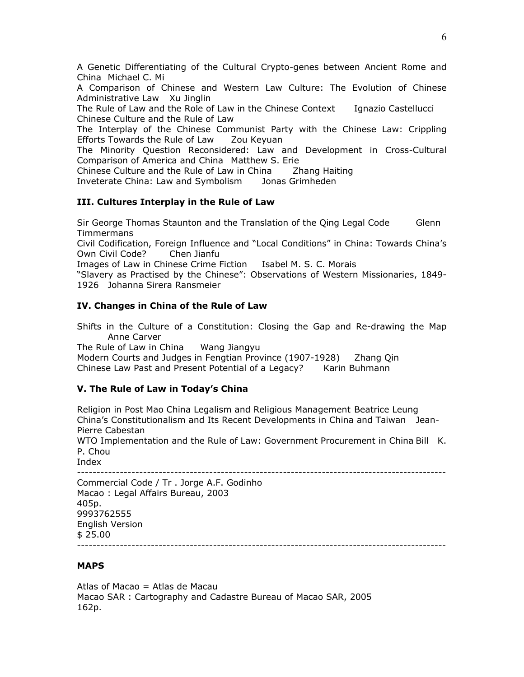A Genetic Differentiating of the Cultural Crypto-genes between Ancient Rome and China Michael C. Mi

A Comparison of Chinese and Western Law Culture: The Evolution of Chinese Administrative Law Xu Jinglin

The Rule of Law and the Role of Law in the Chinese Context Ignazio Castellucci Chinese Culture and the Rule of Law

The Interplay of the Chinese Communist Party with the Chinese Law: Crippling Efforts Towards the Rule of Law Zou Keyuan

The Minority Question Reconsidered: Law and Development in Cross-Cultural Comparison of America and China Matthew S. Erie

Chinese Culture and the Rule of Law in China Zhang Haiting

Inveterate China: Law and Symbolism Jonas Grimheden

# **III. Cultures Interplay in the Rule of Law**

Sir George Thomas Staunton and the Translation of the Qing Legal Code Glenn Timmermans

Civil Codification, Foreign Influence and "Local Conditions" in China: Towards China's Own Civil Code? Chen Jianfu

Images of Law in Chinese Crime Fiction Isabel M. S. C. Morais

"Slavery as Practised by the Chinese": Observations of Western Missionaries, 1849- 1926 Johanna Sirera Ransmeier

# **IV. Changes in China of the Rule of Law**

Shifts in the Culture of a Constitution: Closing the Gap and Re-drawing the Map Anne Carver

The Rule of Law in China Wang Jiangyu Modern Courts and Judges in Fengtian Province (1907-1928) Zhang Qin Chinese Law Past and Present Potential of a Legacy? Karin Buhmann

# **V. The Rule of Law in Today's China**

Religion in Post Mao China Legalism and Religious Management Beatrice Leung China's Constitutionalism and Its Recent Developments in China and Taiwan Jean-Pierre Cabestan

WTO Implementation and the Rule of Law: Government Procurement in China Bill K. P. Chou

Index

-----------------------------------------------------------------------------------------------

Commercial Code / Tr . Jorge A.F. Godinho Macao : Legal Affairs Bureau, 2003 405p. 9993762555 English Version \$ 25.00 -----------------------------------------------------------------------------------------------

# **MAPS**

Atlas of Macao = Atlas de Macau Macao SAR : Cartography and Cadastre Bureau of Macao SAR, 2005 162p.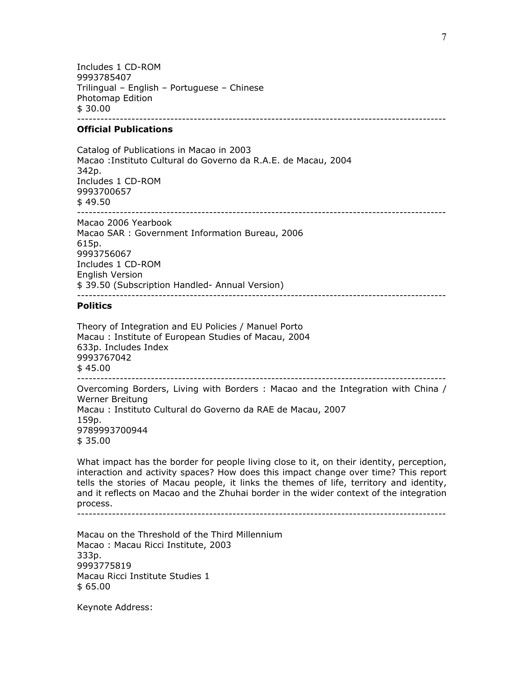Includes 1 CD-ROM 9993785407 Trilingual – English – Portuguese – Chinese Photomap Edition \$ 30.00 -----------------------------------------------------------------------------------------------

#### **Official Publications**

Catalog of Publications in Macao in 2003 Macao :Instituto Cultural do Governo da R.A.E. de Macau, 2004 342p. Includes 1 CD-ROM 9993700657 \$ 49.50 ----------------------------------------------------------------------------------------------- Macao 2006 Yearbook Macao SAR : Government Information Bureau, 2006 615p. 9993756067

Includes 1 CD-ROM English Version \$ 39.50 (Subscription Handled- Annual Version) -----------------------------------------------------------------------------------------------

#### **Politics**

Theory of Integration and EU Policies / Manuel Porto Macau : Institute of European Studies of Macau, 2004 633p. Includes Index 9993767042  $$45.00$ -----------------------------------------------------------------------------------------------

Overcoming Borders, Living with Borders : Macao and the Integration with China / Werner Breitung Macau : Instituto Cultural do Governo da RAE de Macau, 2007 159p. 9789993700944 \$ 35.00

What impact has the border for people living close to it, on their identity, perception, interaction and activity spaces? How does this impact change over time? This report tells the stories of Macau people, it links the themes of life, territory and identity, and it reflects on Macao and the Zhuhai border in the wider context of the integration process.

-----------------------------------------------------------------------------------------------

Macau on the Threshold of the Third Millennium Macao : Macau Ricci Institute, 2003 333p. 9993775819 Macau Ricci Institute Studies 1 \$ 65.00

Keynote Address: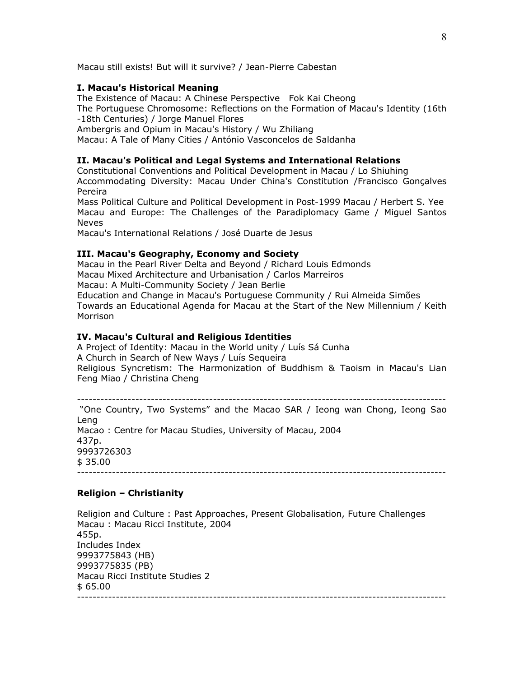Macau still exists! But will it survive? / Jean-Pierre Cabestan

#### **I. Macau's Historical Meaning**

The Existence of Macau: A Chinese Perspective Fok Kai Cheong The Portuguese Chromosome: Reflections on the Formation of Macau's Identity (16th -18th Centuries) / Jorge Manuel Flores

Ambergris and Opium in Macau's History / Wu Zhiliang

Macau: A Tale of Many Cities / António Vasconcelos de Saldanha

### **II. Macau's Political and Legal Systems and International Relations**

Constitutional Conventions and Political Development in Macau / Lo Shiuhing Accommodating Diversity: Macau Under China's Constitution /Francisco Gonçalves Pereira

Mass Political Culture and Political Development in Post-1999 Macau / Herbert S. Yee Macau and Europe: The Challenges of the Paradiplomacy Game / Miguel Santos Neves

Macau's International Relations / José Duarte de Jesus

#### **III. Macau's Geography, Economy and Society**

Macau in the Pearl River Delta and Beyond / Richard Louis Edmonds Macau Mixed Architecture and Urbanisation / Carlos Marreiros Macau: A Multi-Community Society / Jean Berlie Education and Change in Macau's Portuguese Community / Rui Almeida Simões Towards an Educational Agenda for Macau at the Start of the New Millennium / Keith Morrison

#### **IV. Macau's Cultural and Religious Identities**

A Project of Identity: Macau in the World unity / Luís Sá Cunha A Church in Search of New Ways / Luís Sequeira Religious Syncretism: The Harmonization of Buddhism & Taoism in Macau's Lian Feng Miao / Christina Cheng

----------------------------------------------------------------------------------------------- "One Country, Two Systems" and the Macao SAR / Ieong wan Chong, Ieong Sao Leng Macao : Centre for Macau Studies, University of Macau, 2004 437p. 9993726303 \$ 35.00 -----------------------------------------------------------------------------------------------

## **Religion – Christianity**

Religion and Culture : Past Approaches, Present Globalisation, Future Challenges Macau : Macau Ricci Institute, 2004 455p. Includes Index 9993775843 (HB) 9993775835 (PB) Macau Ricci Institute Studies 2 \$ 65.00 -----------------------------------------------------------------------------------------------